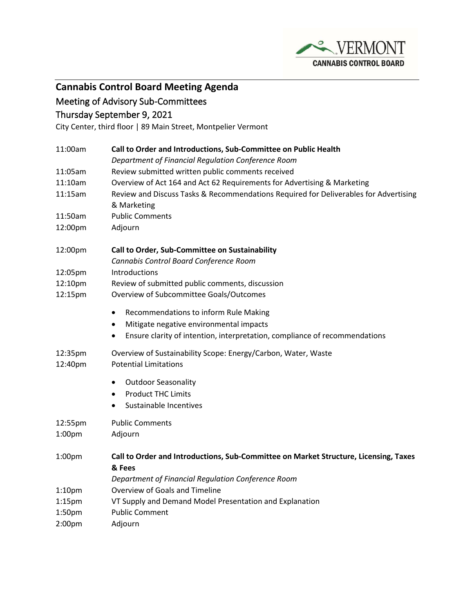

## **Cannabis Control Board Meeting Agenda**

## Meeting of Advisory Sub-Committees

## Thursday September 9, 2021

City Center, third floor | 89 Main Street, Montpelier Vermont

| 11:00am                       | Call to Order and Introductions, Sub-Committee on Public Health                                                                                                                                       |
|-------------------------------|-------------------------------------------------------------------------------------------------------------------------------------------------------------------------------------------------------|
|                               | Department of Financial Regulation Conference Room                                                                                                                                                    |
| 11:05am                       | Review submitted written public comments received                                                                                                                                                     |
| 11:10am                       | Overview of Act 164 and Act 62 Requirements for Advertising & Marketing                                                                                                                               |
| 11:15am                       | Review and Discuss Tasks & Recommendations Required for Deliverables for Advertising<br>& Marketing                                                                                                   |
| 11:50am                       | <b>Public Comments</b>                                                                                                                                                                                |
| 12:00pm                       | Adjourn                                                                                                                                                                                               |
| 12:00pm                       | Call to Order, Sub-Committee on Sustainability<br>Cannabis Control Board Conference Room                                                                                                              |
| 12:05pm                       | <b>Introductions</b>                                                                                                                                                                                  |
| 12:10pm                       | Review of submitted public comments, discussion                                                                                                                                                       |
| 12:15pm                       | Overview of Subcommittee Goals/Outcomes                                                                                                                                                               |
|                               | Recommendations to inform Rule Making<br>$\bullet$<br>Mitigate negative environmental impacts<br>$\bullet$<br>Ensure clarity of intention, interpretation, compliance of recommendations<br>$\bullet$ |
| 12:35pm<br>12:40pm            | Overview of Sustainability Scope: Energy/Carbon, Water, Waste<br><b>Potential Limitations</b>                                                                                                         |
|                               | <b>Outdoor Seasonality</b><br>$\bullet$                                                                                                                                                               |
|                               | <b>Product THC Limits</b><br>$\bullet$                                                                                                                                                                |
|                               | Sustainable Incentives<br>$\bullet$                                                                                                                                                                   |
| 12:55pm<br>1:00 <sub>pm</sub> | <b>Public Comments</b><br>Adjourn                                                                                                                                                                     |
| 1:00 <sub>pm</sub>            | Call to Order and Introductions, Sub-Committee on Market Structure, Licensing, Taxes<br>& Fees                                                                                                        |
|                               | Department of Financial Regulation Conference Room                                                                                                                                                    |
| 1:10 <sub>pm</sub>            | Overview of Goals and Timeline                                                                                                                                                                        |
| $1:15$ pm                     | VT Supply and Demand Model Presentation and Explanation                                                                                                                                               |
| 1:50 <sub>pm</sub>            | <b>Public Comment</b>                                                                                                                                                                                 |
| 2:00pm                        | Adjourn                                                                                                                                                                                               |